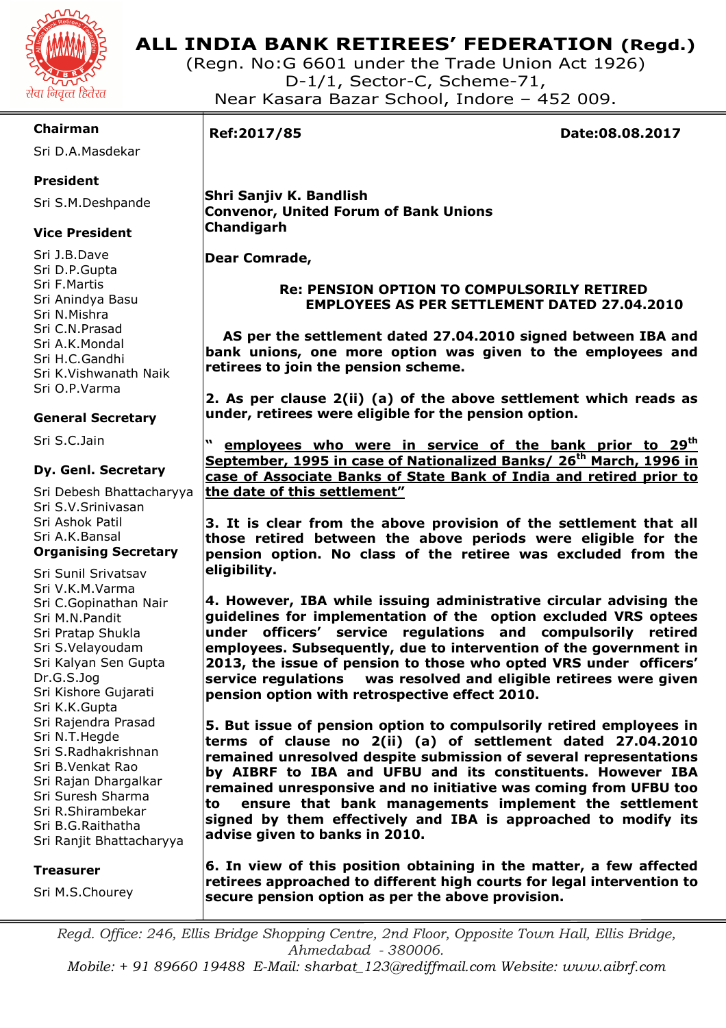

# **ALL INDIA BANK RETIREES' FEDERATION (Regd.)**

(Regn. No:G 6601 under the Trade Union Act 1926) D-1/1, Sector-C, Scheme-71, Near Kasara Bazar School, Indore – 452 009.

## **Chairman**

Sri D.A.Masdekar

## **President**

Sri S.M.Deshpande

## **Vice President**

Sri J.B.Dave Sri D.P.Gupta Sri F.Martis Sri Anindya Basu Sri N.Mishra Sri C.N.Prasad Sri A.K.Mondal Sri H.C.Gandhi Sri K.Vishwanath Naik Sri O.P.Varma

## **General Secretary**

Sri S.C.Jain

## **Dy. Genl. Secretary**

Sri Debesh Bhattacharyya Sri S.V.Srinivasan Sri Ashok Patil Sri A.K.Bansal **Organising Secretary** 

Sri Sunil Srivatsav Sri V.K.M.Varma Sri C.Gopinathan Nair Sri M.N.Pandit Sri Pratap Shukla Sri S.Velayoudam Sri Kalyan Sen Gupta Dr.G.S.Jog Sri Kishore Gujarati Sri K.K.Gupta Sri Rajendra Prasad Sri N.T.Hegde Sri S.Radhakrishnan Sri B.Venkat Rao Sri Rajan Dhargalkar Sri Suresh Sharma Sri R.Shirambekar Sri B.G.Raithatha Sri Ranjit Bhattacharyya

### **Treasurer**

Sri M.S.Chourey

I

**Ref:2017/85 Date:08.08.2017** 

 **Shri Sanjiv K. Bandlish Convenor, United Forum of Bank Unions Chandigarh** 

 **Dear Comrade,** 

## **Re: PENSION OPTION TO COMPULSORILY RETIRED EMPLOYEES AS PER SETTLEMENT DATED 27.04.2010**

 **AS per the settlement dated 27.04.2010 signed between IBA and bank unions, one more option was given to the employees and retirees to join the pension scheme.** 

**2. As per clause 2(ii) (a) of the above settlement which reads as under, retirees were eligible for the pension option.** 

**" employees who were in service of the bank prior to 29th September, 1995 in case of Nationalized Banks/ 26th March, 1996 in case of Associate Banks of State Bank of India and retired prior to the date of this settlement"** 

**3. It is clear from the above provision of the settlement that all those retired between the above periods were eligible for the pension option. No class of the retiree was excluded from the eligibility.** 

**4. However, IBA while issuing administrative circular advising the guidelines for implementation of the option excluded VRS optees under officers' service regulations and compulsorily retired employees. Subsequently, due to intervention of the government in 2013, the issue of pension to those who opted VRS under officers' service regulations was resolved and eligible retirees were given pension option with retrospective effect 2010.** 

**5. But issue of pension option to compulsorily retired employees in terms of clause no 2(ii) (a) of settlement dated 27.04.2010 remained unresolved despite submission of several representations by AIBRF to IBA and UFBU and its constituents. However IBA remained unresponsive and no initiative was coming from UFBU too to ensure that bank managements implement the settlement signed by them effectively and IBA is approached to modify its advise given to banks in 2010.** 

**6. In view of this position obtaining in the matter, a few affected retirees approached to different high courts for legal intervention to secure pension option as per the above provision.** 

*Regd. Office: 246, Ellis Bridge Shopping Centre, 2nd Floor, Opposite Town Hall, Ellis Bridge, Ahmedabad - 380006. Mobile: + 91 89660 19488 E-Mail: sharbat\_123@rediffmail.com Website: www.aibrf.com*